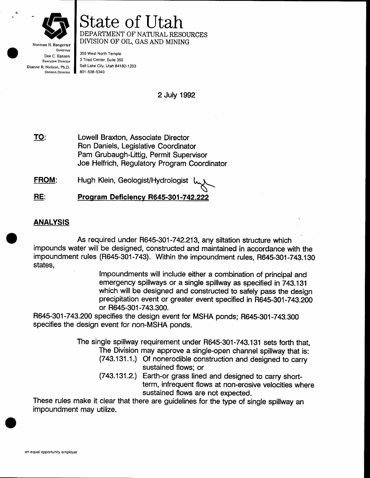

State of Utah DEPARTMENT OF NATURAL RESOURCES DIVISION OF OIL, GAS AND MINING

Governor Dee C, Hansen Executive Director Dianne R. Nielson. Ph.D. Division Director

355 West North Temple 3 Triad Center, Suite 350 salr Lake Gity, Utah 84190-1203 801 -538-s340

2 July 1992

Lowell Braxton, Associate Director Ron Daniels, Legislative Goordinator Pam Grubaugh-Littig, Permit Supervisor Joe Helfrich, Regulatory Program Coordinator TO:

Hugh Klein, Geologist/Hydrologist FROM:

Program Deficiency R645-301-742.222 HE:

## ANALYSIS

As required under R645-301-742.213, any siltation structure which impounds water will be designed, constructed and maintained in accordance with the impoundment rules (R645-301-743). Within the impoundment rules, R645-301-743.130<br>states,

> lmpoundments witl include either a combination of principal and emergency spillways or a single spillway as specified in 743.131 which will be designed and constructed to safely pass the design precipitation event or greater event specified in R645-301-743.200 or R645-301-743.300.

R645-301-743.200 specifies the design event for MSHA ponds; R645-301-243.300 specifies the design event for non-MSHA ponds.

> The single spillway requirement under R645-301-743.131 sets forth that, The Division may approve a single-open channel spillway that is:

- (743.131.1.) Of nonerodible construction and designed to carry sustained flows; or
- (743.131.2.) Earth-or grass lined and designed to carry shortterm, infrequent flows at non-erosive velocities where sustained flows are not expected.

These rules make it clear that there are guidelines for the type of single spillway an impoundment may utilize.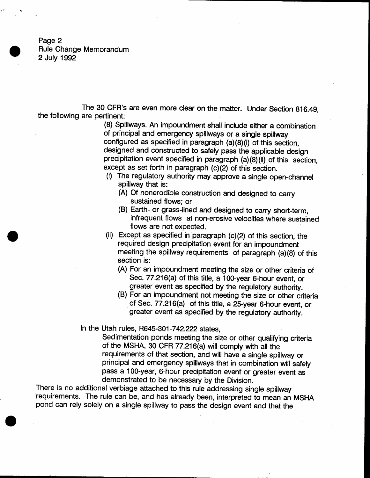Page 2 Rule Change Memorandum 2 July 1992

The 30 CFR's are even more clear on the matter, Under Section 816.49, the following are pertinent:

> (8) Spillways. An impoundment shall include either a combination of principal and emergency spillways or a single spillway configured as specified in paragraph (a){8}(i} of this section, designed and constructed to safely pass the applicable design precipitation event specified in paragraph  $(a)(8)(ii)$  of this section, except as set forth in paragraph  $(c)(2)$  of this section.

- (i) The regulatory authority may approve a single open-channel spillway that is:
	- (A) Of nonerodible construction and designed to carry sustained flows; or
	- (B) Earth- or grass-lined and designed to carry short-term, infrequent flows at non-erosive velocities where sustained flows are not expected.
- (ii) Except as specified in paragraph  $(c)(2)$  of this section, the required design precipitation event for an impoundment meeting the spillway requirements of paragraph  $(a)(8)$  of this section is:
	- (A) For an impoundment meeting the size or other criteria of Sec. 77.216(a) of this title, a 100-year 6-hour event, or greater event as specified by the regulatory authority.
	- (B) For an impoundment not meeting the size or other criteria of Sec. 77.216(a) of this title, a 25-year 6-hour event, or greater event as specified by the regulatory authority.

In the Utah rules, R645-301-742.222 states,

Sedimentation ponds meeting the size or other qualifying criteria of the MSHA, 30 CFR  $77.216(a)$  will comply with all the requirements of that section, and will have a single spillway or principal and emergency spillways that in combination will safely pass a 10O-year, 6-hour precipitation event or greater event as demonstrated to be necessary by the Division.

There is no additional verbiage attached to this rule addressing single spillway requirements. The rule can be, and has already been, interpreted to mean an MSHA pond can rely solely on a single spillway to pass the design event and that the